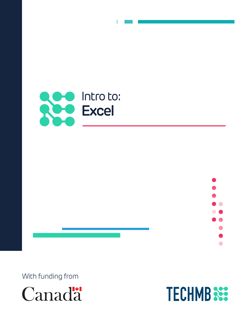



With funding from



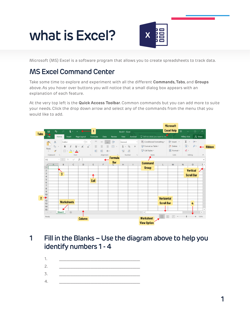# **what is Excel?**



Microsoft (MS) Excel is a software program that allows you to create spreadsheets to track data.

# **MS Excel Command Center**

Take some time to explore and experiment with all the different **Commands, Tabs**, and **Groups** above. As you hover over buttons you will notice that a small dialog box appears with an explanation of each feature.

At the very top left is the **Quick Access Toolbar**. Common commands but you can add more to suite your needs. Click the drop down arrow and select any of the commands from the menu that you would like to add.



## **1 Fill in the Blanks – Use the diagram above to help you identify numbers 1 - 4**

- 1. \_\_\_\_\_\_\_\_\_\_\_\_\_\_\_\_\_\_\_\_\_\_\_\_\_\_\_\_\_\_\_\_\_\_\_\_\_\_\_\_\_\_\_\_
- 2. \_\_\_\_\_\_\_\_\_\_\_\_\_\_\_\_\_\_\_\_\_\_\_\_\_\_\_\_\_\_\_\_\_\_\_\_\_\_\_\_\_\_\_\_
- 3. \_\_\_\_\_\_\_\_\_\_\_\_\_\_\_\_\_\_\_\_\_\_\_\_\_\_\_\_\_\_\_\_\_\_\_\_\_\_\_\_\_\_\_\_
- 4. \_\_\_\_\_\_\_\_\_\_\_\_\_\_\_\_\_\_\_\_\_\_\_\_\_\_\_\_\_\_\_\_\_\_\_\_\_\_\_\_\_\_\_\_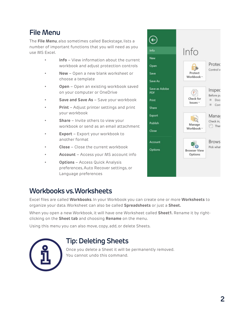# **File Menu**

The **File Menu**, also sometimes called Backstage, lists a number of important functions that you will need as you use MS Excel.

- **Info** View information about the current workbook and adjust protection controls
- **New** Open a new blank worksheet or choose a template
- **Open** Open an existing workbook saved on your computer or OneDrive
- **Save and Save As**  Save your workbook
- **Print**  Adjust printer settings and print your workbook
- **Share**  Invite others to view your workbook or send as an email attachment
- **Export** Export your workbook to another format
- **Close** Close the current workbook
- **Account** Access your MS account info
- **Options** Access Quick Analysis preferences, Auto Recover settings, or Language preferences

#### $\left(\epsilon\right)$ Info Info New Protec Open 19 Control w Save Protect Workbook · Save As Save as Adobe Inspec  $\circledast$ **PDF** Before pu Check for Print Doc Issues - $\equiv$  Cont Share Export Manao  $\Omega$ Check in, Publish Manage n Ther Workbook Close **Brows** Account Pick what Options **Browser View** Options

# **Workbooks vs. Worksheets**

Excel files are called **Workbooks**. In your Workbook you can create one or more **Worksheets** to organize your data. Worksheet can also be called **Spreadsheets** or just a **Sheet.**

When you open a new Workbook, it will have one Worksheet called **Sheet1.** Rename it by rightclicking on the **Sheet tab** and choosing **Rename** on the menu.

Using this menu you can also move, copy, add, or delete Sheets.



## **Tip: Deleting Sheets**

Once you delete a Sheet it will be permanently removed. You cannot undo this command.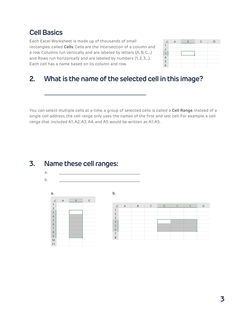## **Cell Basics**

Each Excel Worksheet is made up of thousands of small rectangles, called **Cells**. Cells are the intersection of a column and a row. Columns run vertically and are labeled by letters (A, B, C…) and Rows run horizontally and are labeled by numbers (1, 2, 3…). Each cell has a name based on its column and row.

F.

G

### **2. What is the name of the selected cell in this image?**

You can select multiple cells at a time, a group of selected cells is called a **Cell Range**. Instead of a single cell address, the cell range only uses the names of the first and last cell. For example, a cell range that included A1, A2, A3, A4, and A5 would be written as A1:A5.

 $\frac{1}{1}$ 

 $\begin{array}{c}\n 2 \\
3 \\
4 \\
5\n \end{array}$ 

 $\sqrt{6}$ 

 $\boldsymbol{7}$ 

 $\bf8$ 

## **3. Name these cell ranges:**

a. \_\_\_\_\_\_\_\_\_\_\_\_\_\_\_\_\_\_\_\_\_\_\_\_\_\_\_\_\_\_\_\_\_\_\_\_\_\_\_\_\_\_\_\_ b. \_\_\_\_\_\_\_\_\_\_\_\_\_\_\_\_\_\_\_\_\_\_\_\_\_\_\_\_\_\_\_\_\_\_\_\_\_\_\_\_\_\_\_\_

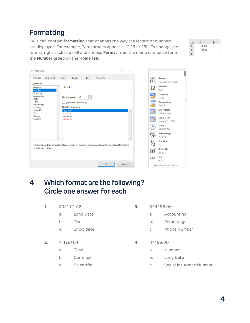#### **4**

# **Formatting**

Format Cells

Cells can contain **formatting** that changes the way the letters or numbers are displayed. For example, Percentages appear as 0.25 or 25%. To change the format, right click in a cell and choose **Format** from the menu or choose form the **Number group** on the **Home tab**.

 $\overline{\phantom{a}}$ 

 $\times$ 

| Number                                   | Alignment               | Font                     | Border                                     | Fill   | Protection                                                                                          | <b>ABC</b><br>123 | General<br>No specific format       |
|------------------------------------------|-------------------------|--------------------------|--------------------------------------------|--------|-----------------------------------------------------------------------------------------------------|-------------------|-------------------------------------|
| Category:<br>General                     | $\widehat{\phantom{a}}$ | Sample                   |                                            |        |                                                                                                     | 12                | <b>Number</b><br>0.25               |
| Number<br>Currency<br>Accounting<br>Date |                         |                          | $\overline{2}$<br>Decimal places:          | $\div$ |                                                                                                     |                   | Currency<br>\$0.25                  |
| Time<br>Percentage<br>Fraction           |                         |                          | Use 1000 Separator ()<br>Negative numbers: |        |                                                                                                     | 99931             | <b>Accounting</b><br>\$0.25         |
| Scientific<br>Text                       |                         | $-1234.10$<br>1234.10    |                                            |        |                                                                                                     | $\blacksquare$    | <b>Short Date</b><br>1900-01-00     |
| Special<br>Custom                        |                         | $-1234.10$<br>$-1234.10$ |                                            |        |                                                                                                     | $\blacksquare$    | <b>Long Date</b><br>January 0, 1900 |
|                                          |                         |                          |                                            |        |                                                                                                     | CΙ                | <b>Time</b><br>6:00:00 AM           |
|                                          | $\checkmark$            |                          |                                            |        | $\sim$                                                                                              | $\%$              | Percentage<br>25.00%                |
|                                          |                         |                          |                                            |        | Number is used for general display of numbers. Currency and Accounting offer specialized formatting | $\frac{1}{2}$     | <b>Fraction</b><br>1/4              |
| for monetary value.                      |                         |                          |                                            |        |                                                                                                     | 10                | Scientific<br>2.50E-01              |
|                                          |                         |                          |                                            |        |                                                                                                     | ABC               | <b>Text</b><br>0.25                 |
|                                          |                         |                          |                                            |        | OK<br>Cancel                                                                                        |                   | More Number Formats                 |

## **4 Which format are the following? Circle one answer for each**

- **1.** 2021-01-02
	- a. Long Date
	- b. Text
	- c. Short date
- **2.** 4.42E+04
	- a. Time
	- b. Currency
	- c. Scientific
- **3.** \$44,198.00
	- a. Accounting
	- b. Percentage
	- c. Phone Number
- **4.** 44198.00
	- a. Number
	- b. Long Date
	- c. Social Insurance Number



 $A$  $\overline{R}$  $0.25$  $\mathbf{1}$  $\overline{c}$ 25%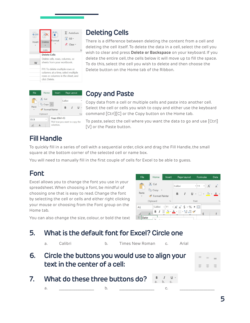| Insert              | Delete<br>Cells                                                                                                             | Format | $\Sigma$ . AutoSum<br>$J$ Fill $\sim$<br>$\mathcal{L}$ Clear $\tau$ | Ec |  |  |  |
|---------------------|-----------------------------------------------------------------------------------------------------------------------------|--------|---------------------------------------------------------------------|----|--|--|--|
| <b>Delete Cells</b> |                                                                                                                             |        |                                                                     |    |  |  |  |
|                     | Delete cells, rows, columns, or<br>sheets from your workbook.                                                               |        |                                                                     |    |  |  |  |
|                     | FYI: To delete multiple rows or<br>columns at a time, select multiple<br>rows or columns in the sheet, and<br>click Delete. |        |                                                                     |    |  |  |  |

# **Deleting Cells**

There is a difference between deleting the content from a cell and deleting the cell itself. To delete the data in a cell, select the cell you wish to clear and press **Delete or Backspace** on your keyboard. If you delete the entire cell, the cells below it will move up to fill the space. To do this, select the cell you wish to delete and then choose the Delete button on the Home tab of the Ribbon.

| File            | Home              | Insert                                                       |         | Page Layout |     |
|-----------------|-------------------|--------------------------------------------------------------|---------|-------------|-----|
|                 | X Cut             |                                                              | Calibri |             |     |
| Paste           | Copy<br>Clipboard | Format Painter<br>$\overline{12}$                            | в       |             | For |
| D <sub>13</sub> |                   | Copy (Ctrl+C)<br>Pick how you want to copy the<br>selection. |         |             |     |

## **Copy and Paste**

Copy data from a cell or multiple cells and paste into another cell. Select the cell or cells you wish to copy and either use the keyboard command [Ctrl][C] or the Copy button on the Home tab.

To paste, select the cell where you want the data to go and use [Ctrl] [V] or the Paste button.

# **Fill Handle**

To quickly fill in a series of cell with a sequential order, click and drag the Fill Handle, the small square at the bottom corner of the selected cell or name box.

You will need to manually fill in the first couple of cells for Excel to be able to guess.

# **Font**

Excel allows you to change the font you use in your spreadsheet. When choosing a font, be mindful of choosing one that is easy to read. Change the font by selecting the cell or cells and either right clicking your mouse or choosing from the Font group on the Home tab.



You can also change the size, colour, or bold the text

# **5. What is the default font for Excel? Circle one**

| a <sub>z</sub> | Calibri                            | b. Times New Roman c.                             | Arial |          |
|----------------|------------------------------------|---------------------------------------------------|-------|----------|
|                | text in the center of a cell:      | 6. Circle the buttons you would use to align your |       | $\equiv$ |
|                | 7. What do these three buttons do? |                                                   |       |          |

a. \_\_\_\_\_\_\_\_\_\_\_\_\_\_\_\_\_\_\_ b. \_\_\_\_\_\_\_\_\_\_\_\_\_\_\_\_\_\_\_ c. \_\_\_\_\_\_\_\_\_\_\_\_\_\_\_\_\_\_\_

**5**

亖 亖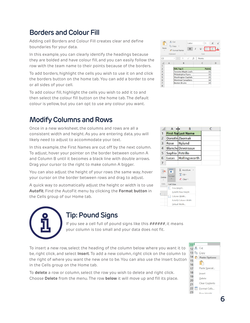# **Borders and Colour Fill**

Adding cell Borders and Colour Fill creates clear and define boundaries for your data.

In this example, you can clearly identify the headings because they are bolded and have colour fill, and you can easily follow the row with the team name to their points because of the borders.

To add borders, highlight the cells you wish to use it on and click the borders button on the home tab. You can add a border to one or all sides of your cell.

To add colour fill, highlight the cells you wish to add it to and then select the colour fill button on the home tab. The default colour is yellow, but you can opt to use any colour you want.

# **Modify Columns and Rows**

Once in a new worksheet, the columns and rows are all a consistent width and height. As you are entering data, you will likely need to adjust to accommodate your text.

In this example, the First Names are cut off by the next column. To adjust, hover your pointer on the border between column A and Column B until it becomes a black line with double arrows. Drag your cursor to the right to make column A bigger.

You can also adjust the height of your rows the same way, hover your cursor on the border between rows and drag to adjust.

A quick way to automatically adjust the height or width is to use **Autofit**. Find the AutoFit menu by clicking the **Format button** in the Cells group of our Home tab.



## **Tip: Pound Signs**

If you see a cell full of pound signs like this  $\# \# \# \# \#$ , it means your column is too small and your data does not fit.

To insert a new row, select the heading of the column below where you want it to be, right click, and select **Insert**. To add a new column, right click on the column to the right of where you want the new one to be. You can also use the Insert button in the Cells group on the Home tab.

To **delete** a row or column, select the row you wish to delete and right click. Choose **Delete** from the menu. The row **below** it will move up and fill its place.



|                | A               | В                         | С |
|----------------|-----------------|---------------------------|---|
|                |                 | <b>First Na Last Name</b> |   |
| $\overline{2}$ |                 | Doroth Zbornak            |   |
| 3              | Rose            | Nylund                    |   |
| 4              |                 | <b>Blanche Devereaux</b>  |   |
| 5              | Sophia Petrillo |                           |   |
| 6              | Lucas           | Hollingsworth             |   |
|                |                 |                           |   |



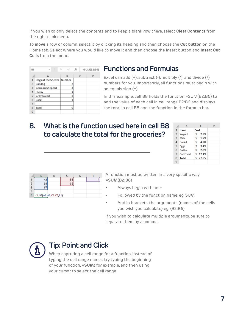If you wish to only delete the contents and to keep a blank row there, select **Clear Contents** from the right click menu.

To **move** a row or column, select it by clicking its heading and then choose the **Cut button** on the Home tab. Select where you would like to move it and then choose the Insert button and **Insert Cut Cells** from the menu.

| <b>B8</b>      | $\sim$                     | İ |   | fx | $=SUM(B2:B6)$ |
|----------------|----------------------------|---|---|----|---------------|
|                | A                          |   | B |    | D             |
| 1              | Dogs at the Shelter Number |   |   |    |               |
| $\overline{2}$ | <b>Bulldog</b>             |   | 2 |    |               |
| 3              | <b>German Sheperd</b>      |   |   | 3  |               |
| 4              | Husky                      |   |   |    |               |
| 5              | Greyhound                  |   |   | 2  |               |
| 6              | Corgi                      |   |   |    |               |
| 7              |                            |   |   |    |               |
| 8              | <b>Total</b>               |   |   | 9  |               |
| 9              |                            |   |   |    |               |

#### **Functions and Formulas**

Excel can add  $(+)$ , subtract  $(-)$ , multiply  $(*)$ , and divide  $($   $/$ numbers for you. Importantly, all functions must begin with an equals sign (=)

In this example, cell B8 holds the function =SUM(B2:B6) to add the value of each cell in cell range B2:B6 and displays the total in cell B8 and the function in the formula bar.

#### **8. What is the function used here in cell B8 to calculate the total for the groceries?**

|                | А               |      | B       | г |
|----------------|-----------------|------|---------|---|
| $\mathbf{1}$   | Item            | Cost |         |   |
| $\overline{2}$ | Yogurt          | Ś    | 2.99    |   |
| $\overline{3}$ | Milk            | s    | 1.79    |   |
| 4              | <b>Bread</b>    | Ś    | 4.20    |   |
| 5              | Eggs            | Ś.   | 3.49    |   |
| 6              | <b>Butter</b>   | Ś.   | 2.99    |   |
| $\overline{7}$ | <b>Cat Food</b> |      | 5 12.49 |   |
| 8              | <b>Total</b>    |      | \$27.95 |   |
| 9              |                 |      |         |   |

|   | 98                   |  |  |
|---|----------------------|--|--|
|   |                      |  |  |
|   |                      |  |  |
| 5 | =SUM(A1:A3,C1:C2,E1) |  |  |

A function must be written in a very specific way =**SUM**(B2:B6)

- Always begin with an  $=$
- Followed by the function name, eg. SUM
- And in brackets, the arguments (names of the cells you wish you calculate) eg. (B2:B6)

If you wish to calculate multiple arguments, be sure to separate them by a comma.



## **Tip: Point and Click**

When capturing a cell range for a function, instead of typing the cell range names, try typing the beginning of your function, =**SUM**( for example, and then using your cursor to select the cell range.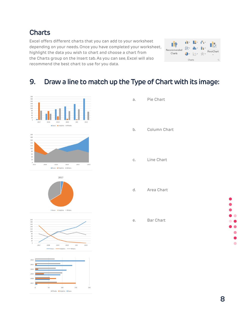**Charts**

Excel offers different charts that you can add to your worksheet depending on your needs. Once you have completed your worksheet, highlight the data you wish to chart and choose a chart from the Charts group on the Insert tab. As you can see, Excel will also recommend the best chart to use for you data.

| Recommended<br>Charts | il T   | ш<br>血工<br>55% | e a<br>n. | PivotChart |
|-----------------------|--------|----------------|-----------|------------|
|                       | Charts |                |           | Γü         |

## **9. Draw a line to match up the Type of Chart with its image:**



| a. I | Pie Chart    |
|------|--------------|
| b.   | Column Chart |
|      |              |

- c. Line Chart
- d. Area Chart

e. Bar Chart

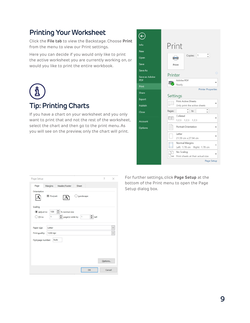# **Printing Your Worksheet**

Click the **File tab** to view the Backstage. Choose **Print** from the menu to view our Print settings.

Here you can decide if you would only like to print the active worksheet you are currently working on, or would you like to print the entire workbook.

**Tip: Printing Charts**

If you have a chart on your worksheet and you only want to print that and not the rest of the worksheet, select the chart and then go to the print menu. As you will see on the preview, only the chart will print.



| Margins Header/Footer<br>Page<br>Sheet<br>Orientation<br><b>O</b> Portrait<br>Landscape<br>100 $\frac{4}{2}$ % normal size<br>Adjust to:<br>$\frac{2}{2}$ page(s) wide by 1<br>$\div$ tall<br>$\bigcirc$ Fit to:<br>1<br>Letter<br>1200 dpi | ×             |
|---------------------------------------------------------------------------------------------------------------------------------------------------------------------------------------------------------------------------------------------|---------------|
|                                                                                                                                                                                                                                             |               |
| Scaling<br>Paper size:<br>Print guality:<br>First page number: Auto                                                                                                                                                                         |               |
|                                                                                                                                                                                                                                             |               |
|                                                                                                                                                                                                                                             |               |
|                                                                                                                                                                                                                                             |               |
|                                                                                                                                                                                                                                             |               |
|                                                                                                                                                                                                                                             |               |
|                                                                                                                                                                                                                                             |               |
|                                                                                                                                                                                                                                             | $\checkmark$  |
|                                                                                                                                                                                                                                             | $\mathcal{L}$ |
|                                                                                                                                                                                                                                             |               |
|                                                                                                                                                                                                                                             |               |
|                                                                                                                                                                                                                                             |               |
|                                                                                                                                                                                                                                             |               |
|                                                                                                                                                                                                                                             |               |
| Options                                                                                                                                                                                                                                     |               |
| OK                                                                                                                                                                                                                                          | Cancel        |

For further settings, click **Page Setup** at the bottom of the Print menu to open the Page Setup dialog box.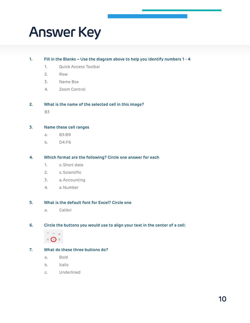# **Answer Key**

#### **1. Fill in the Blanks – Use the diagram above to help you identify numbers 1 - 4**

- 1. Quick Access Toolbar
- 2. Row
- 3. Name Box
- 4. Zoom Control

#### **2. What is the name of the selected cell in this image?**

B3

#### **3. Name these cell ranges**

- a. B3:B9
- b. D4:F6

#### **4. Which format are the following? Circle one answer for each**

- 1. c. Short date
- 2. c. Scientific
- 3. a. Accounting
- 4. a. Number

#### **5. What is the default font for Excel? Circle one**

a. Calibri

#### **6. Circle the buttons you would use to align your text in the center of a cell:**



#### **7. What do these three buttons do?**

- a. Bold
- b. Italic
- c. Underlined